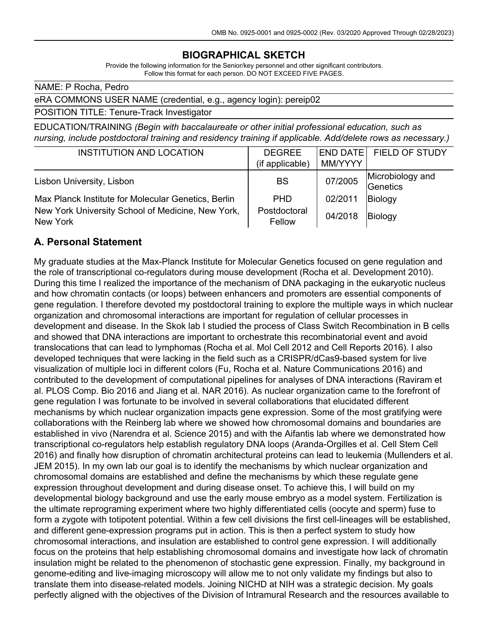### **BIOGRAPHICAL SKETCH**

Provide the following information for the Senior/key personnel and other significant contributors. Follow this format for each person. DO NOT EXCEED FIVE PAGES.

NAME: P Rocha, Pedro

#### eRA COMMONS USER NAME (credential, e.g., agency login): pereip02

#### POSITION TITLE: Tenure-Track Investigator

EDUCATION/TRAINING *(Begin with baccalaureate or other initial professional education, such as nursing, include postdoctoral training and residency training if applicable. Add/delete rows as necessary.)*

| <b>INSTITUTION AND LOCATION</b>                               | <b>DEGREE</b>          |         | END DATE FIELD OF STUDY      |
|---------------------------------------------------------------|------------------------|---------|------------------------------|
|                                                               | (if applicable)        | MM/YYYY |                              |
| Lisbon University, Lisbon                                     | BS                     | 07/2005 | Microbiology and<br>Genetics |
| Max Planck Institute for Molecular Genetics, Berlin           | <b>PHD</b>             | 02/2011 | Biology                      |
| New York University School of Medicine, New York,<br>New York | Postdoctoral<br>Fellow | 04/2018 | Biology                      |

### **A. Personal Statement**

My graduate studies at the Max-Planck Institute for Molecular Genetics focused on gene regulation and the role of transcriptional co-regulators during mouse development (Rocha et al. Development 2010). During this time I realized the importance of the mechanism of DNA packaging in the eukaryotic nucleus and how chromatin contacts (or loops) between enhancers and promoters are essential components of gene regulation. I therefore devoted my postdoctoral training to explore the multiple ways in which nuclear organization and chromosomal interactions are important for regulation of cellular processes in development and disease. In the Skok lab I studied the process of Class Switch Recombination in B cells and showed that DNA interactions are important to orchestrate this recombinatorial event and avoid translocations that can lead to lymphomas (Rocha et al. Mol Cell 2012 and Cell Reports 2016). I also developed techniques that were lacking in the field such as a CRISPR/dCas9-based system for live visualization of multiple loci in different colors (Fu, Rocha et al. Nature Communications 2016) and contributed to the development of computational pipelines for analyses of DNA interactions (Raviram et al. PLOS Comp. Bio 2016 and Jiang et al. NAR 2016). As nuclear organization came to the forefront of gene regulation I was fortunate to be involved in several collaborations that elucidated different mechanisms by which nuclear organization impacts gene expression. Some of the most gratifying were collaborations with the Reinberg lab where we showed how chromosomal domains and boundaries are established in vivo (Narendra et al. Science 2015) and with the Aifantis lab where we demonstrated how transcriptional co-regulators help establish regulatory DNA loops (Aranda-Orgilles et al. Cell Stem Cell 2016) and finally how disruption of chromatin architectural proteins can lead to leukemia (Mullenders et al. JEM 2015). In my own lab our goal is to identify the mechanisms by which nuclear organization and chromosomal domains are established and define the mechanisms by which these regulate gene expression throughout development and during disease onset. To achieve this, I will build on my developmental biology background and use the early mouse embryo as a model system. Fertilization is the ultimate reprograming experiment where two highly differentiated cells (oocyte and sperm) fuse to form a zygote with totipotent potential. Within a few cell divisions the first cell-lineages will be established, and different gene-expression programs put in action. This is then a perfect system to study how chromosomal interactions, and insulation are established to control gene expression. I will additionally focus on the proteins that help establishing chromosomal domains and investigate how lack of chromatin insulation might be related to the phenomenon of stochastic gene expression. Finally, my background in genome-editing and live-imaging microscopy will allow me to not only validate my findings but also to translate them into disease-related models. Joining NICHD at NIH was a strategic decision. My goals perfectly aligned with the objectives of the Division of Intramural Research and the resources available to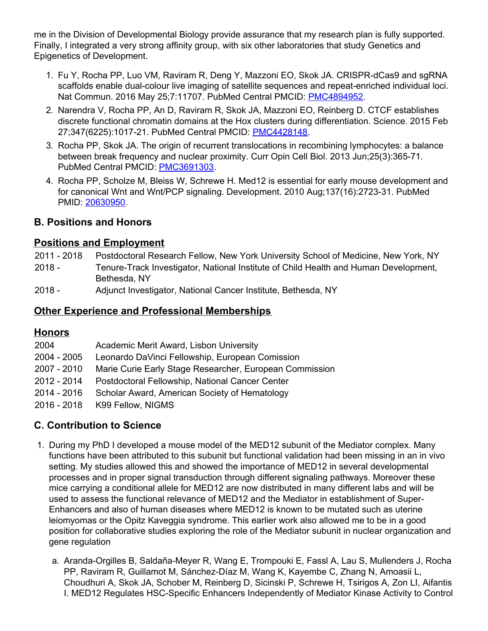me in the Division of Developmental Biology provide assurance that my research plan is fully supported. Finally, I integrated a very strong affinity group, with six other laboratories that study Genetics and Epigenetics of Development.

- 1. Fu Y, Rocha PP, Luo VM, Raviram R, Deng Y, Mazzoni EO, Skok JA. CRISPR-dCas9 and sgRNA scaffolds enable dual-colour live imaging of satellite sequences and repeat-enriched individual loci. Nat Commun. 2016 May 25;7:11707. PubMed Central PMCID: [PMC4894952](http://www.ncbi.nlm.nih.gov/pmc/articles/PMC4894952/).
- 2. Narendra V, Rocha PP, An D, Raviram R, Skok JA, Mazzoni EO, Reinberg D. CTCF establishes discrete functional chromatin domains at the Hox clusters during differentiation. Science. 2015 Feb 27;347(6225):1017-21. PubMed Central PMCID: [PMC4428148](http://www.ncbi.nlm.nih.gov/pmc/articles/PMC4428148/).
- 3. Rocha PP, Skok JA. The origin of recurrent translocations in recombining lymphocytes: a balance between break frequency and nuclear proximity. Curr Opin Cell Biol. 2013 Jun;25(3):365-71. PubMed Central PMCID: [PMC3691303](http://www.ncbi.nlm.nih.gov/pmc/articles/PMC3691303/).
- 4. Rocha PP, Scholze M, Bleiss W, Schrewe H. Med12 is essential for early mouse development and for canonical Wnt and Wnt/PCP signaling. Development. 2010 Aug;137(16):2723-31. PubMed PMID: [20630950.](http://www.ncbi.nlm.nih.gov/pubmed/20630950/)

### **B. Positions and Honors**

### **Positions and Employment**

- 2011 2018 Postdoctoral Research Fellow, New York University School of Medicine, New York, NY
- 2018 Tenure-Track Investigator, National Institute of Child Health and Human Development, Bethesda, NY
- 2018 Adjunct Investigator, National Cancer Institute, Bethesda, NY

## **Other Experience and Professional Memberships**

# **Honors**

| 2004        | Academic Merit Award, Lisbon University                 |
|-------------|---------------------------------------------------------|
| 2004 - 2005 | Leonardo DaVinci Fellowship, European Comission         |
| 2007 - 2010 | Marie Curie Early Stage Researcher, European Commission |
| 2012 - 2014 | Postdoctoral Fellowship, National Cancer Center         |
| 2014 - 2016 | Scholar Award, American Society of Hematology           |
| 2016 - 2018 | K99 Fellow, NIGMS                                       |
|             |                                                         |

# **C. Contribution to Science**

- 1. During my PhD I developed a mouse model of the MED12 subunit of the Mediator complex. Many functions have been attributed to this subunit but functional validation had been missing in an in vivo setting. My studies allowed this and showed the importance of MED12 in several developmental processes and in proper signal transduction through different signaling pathways. Moreover these mice carrying a conditional allele for MED12 are now distributed in many different labs and will be used to assess the functional relevance of MED12 and the Mediator in establishment of Super-Enhancers and also of human diseases where MED12 is known to be mutated such as uterine leiomyomas or the Opitz Kaveggia syndrome. This earlier work also allowed me to be in a good position for collaborative studies exploring the role of the Mediator subunit in nuclear organization and gene regulation
	- a. Aranda-Orgilles B, Saldaña-Meyer R, Wang E, Trompouki E, Fassl A, Lau S, Mullenders J, Rocha PP, Raviram R, Guillamot M, Sánchez-Díaz M, Wang K, Kayembe C, Zhang N, Amoasii L, Choudhuri A, Skok JA, Schober M, Reinberg D, Sicinski P, Schrewe H, Tsirigos A, Zon LI, Aifantis I. MED12 Regulates HSC-Specific Enhancers Independently of Mediator Kinase Activity to Control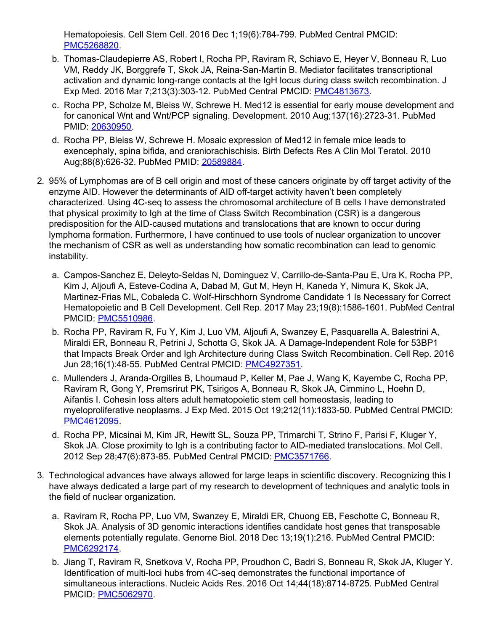Hematopoiesis. Cell Stem Cell. 2016 Dec 1;19(6):784-799. PubMed Central PMCID: [PMC5268820](http://www.ncbi.nlm.nih.gov/pmc/articles/PMC5268820/).

- b. Thomas-Claudepierre AS, Robert I, Rocha PP, Raviram R, Schiavo E, Heyer V, Bonneau R, Luo VM, Reddy JK, Borggrefe T, Skok JA, Reina-San-Martin B. Mediator facilitates transcriptional activation and dynamic long-range contacts at the IgH locus during class switch recombination. J Exp Med. 2016 Mar 7;213(3):303-12. PubMed Central PMCID: [PMC4813673.](http://www.ncbi.nlm.nih.gov/pmc/articles/PMC4813673/)
- c. Rocha PP, Scholze M, Bleiss W, Schrewe H. Med12 is essential for early mouse development and for canonical Wnt and Wnt/PCP signaling. Development. 2010 Aug;137(16):2723-31. PubMed PMID: [20630950](http://www.ncbi.nlm.nih.gov/pubmed/20630950/).
- d. Rocha PP, Bleiss W, Schrewe H. Mosaic expression of Med12 in female mice leads to exencephaly, spina bifida, and craniorachischisis. Birth Defects Res A Clin Mol Teratol. 2010 Aug;88(8):626-32. PubMed PMID: [20589884.](http://www.ncbi.nlm.nih.gov/pubmed/20589884/)
- 2. 95% of Lymphomas are of B cell origin and most of these cancers originate by off target activity of the enzyme AID. However the determinants of AID off-target activity haven't been completely characterized. Using 4C-seq to assess the chromosomal architecture of B cells I have demonstrated that physical proximity to Igh at the time of Class Switch Recombination (CSR) is a dangerous predisposition for the AID-caused mutations and translocations that are known to occur during lymphoma formation. Furthermore, I have continued to use tools of nuclear organization to uncover the mechanism of CSR as well as understanding how somatic recombination can lead to genomic instability.
	- a. Campos-Sanchez E, Deleyto-Seldas N, Dominguez V, Carrillo-de-Santa-Pau E, Ura K, Rocha PP, Kim J, Aljoufi A, Esteve-Codina A, Dabad M, Gut M, Heyn H, Kaneda Y, Nimura K, Skok JA, Martinez-Frias ML, Cobaleda C. Wolf-Hirschhorn Syndrome Candidate 1 Is Necessary for Correct Hematopoietic and B Cell Development. Cell Rep. 2017 May 23;19(8):1586-1601. PubMed Central PMCID: [PMC5510986](http://www.ncbi.nlm.nih.gov/pmc/articles/PMC5510986/).
	- b. Rocha PP, Raviram R, Fu Y, Kim J, Luo VM, Aljoufi A, Swanzey E, Pasquarella A, Balestrini A, Miraldi ER, Bonneau R, Petrini J, Schotta G, Skok JA. A Damage-Independent Role for 53BP1 that Impacts Break Order and Igh Architecture during Class Switch Recombination. Cell Rep. 2016 Jun 28;16(1):48-55. PubMed Central PMCID: [PMC4927351](http://www.ncbi.nlm.nih.gov/pmc/articles/PMC4927351/).
	- c. Mullenders J, Aranda-Orgilles B, Lhoumaud P, Keller M, Pae J, Wang K, Kayembe C, Rocha PP, Raviram R, Gong Y, Premsrirut PK, Tsirigos A, Bonneau R, Skok JA, Cimmino L, Hoehn D, Aifantis I. Cohesin loss alters adult hematopoietic stem cell homeostasis, leading to myeloproliferative neoplasms. J Exp Med. 2015 Oct 19;212(11):1833-50. PubMed Central PMCID: [PMC4612095](http://www.ncbi.nlm.nih.gov/pmc/articles/PMC4612095/).
	- d. Rocha PP, Micsinai M, Kim JR, Hewitt SL, Souza PP, Trimarchi T, Strino F, Parisi F, Kluger Y, Skok JA. Close proximity to Igh is a contributing factor to AID-mediated translocations. Mol Cell. 2012 Sep 28;47(6):873-85. PubMed Central PMCID: [PMC3571766](http://www.ncbi.nlm.nih.gov/pmc/articles/PMC3571766/).
- 3. Technological advances have always allowed for large leaps in scientific discovery. Recognizing this I have always dedicated a large part of my research to development of techniques and analytic tools in the field of nuclear organization.
	- a. Raviram R, Rocha PP, Luo VM, Swanzey E, Miraldi ER, Chuong EB, Feschotte C, Bonneau R, Skok JA. Analysis of 3D genomic interactions identifies candidate host genes that transposable elements potentially regulate. Genome Biol. 2018 Dec 13;19(1):216. PubMed Central PMCID: [PMC6292174](http://www.ncbi.nlm.nih.gov/pmc/articles/PMC6292174/).
	- b. Jiang T, Raviram R, Snetkova V, Rocha PP, Proudhon C, Badri S, Bonneau R, Skok JA, Kluger Y. Identification of multi-loci hubs from 4C-seq demonstrates the functional importance of simultaneous interactions. Nucleic Acids Res. 2016 Oct 14;44(18):8714-8725. PubMed Central PMCID: [PMC5062970](http://www.ncbi.nlm.nih.gov/pmc/articles/PMC5062970/).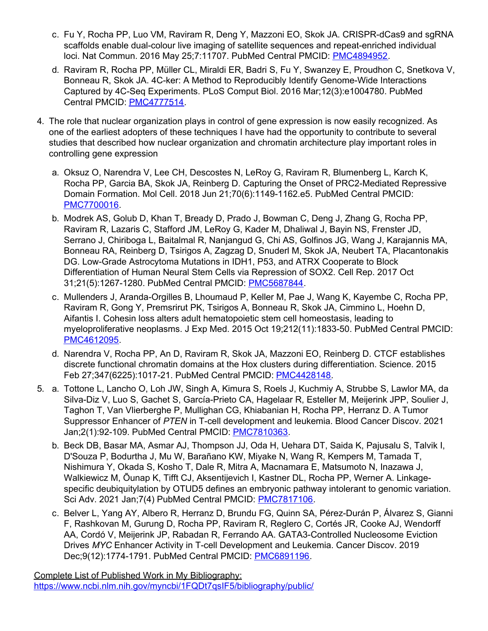- c. Fu Y, Rocha PP, Luo VM, Raviram R, Deng Y, Mazzoni EO, Skok JA. CRISPR-dCas9 and sgRNA scaffolds enable dual-colour live imaging of satellite sequences and repeat-enriched individual loci. Nat Commun. 2016 May 25;7:11707. PubMed Central PMCID: [PMC4894952.](http://www.ncbi.nlm.nih.gov/pmc/articles/PMC4894952/)
- d. Raviram R, Rocha PP, Müller CL, Miraldi ER, Badri S, Fu Y, Swanzey E, Proudhon C, Snetkova V, Bonneau R, Skok JA. 4C-ker: A Method to Reproducibly Identify Genome-Wide Interactions Captured by 4C-Seq Experiments. PLoS Comput Biol. 2016 Mar;12(3):e1004780. PubMed Central PMCID: [PMC4777514](http://www.ncbi.nlm.nih.gov/pmc/articles/PMC4777514/).
- 4. The role that nuclear organization plays in control of gene expression is now easily recognized. As one of the earliest adopters of these techniques I have had the opportunity to contribute to several studies that described how nuclear organization and chromatin architecture play important roles in controlling gene expression
	- a. Oksuz O, Narendra V, Lee CH, Descostes N, LeRoy G, Raviram R, Blumenberg L, Karch K, Rocha PP, Garcia BA, Skok JA, Reinberg D. Capturing the Onset of PRC2-Mediated Repressive Domain Formation. Mol Cell. 2018 Jun 21;70(6):1149-1162.e5. PubMed Central PMCID: [PMC7700016](http://www.ncbi.nlm.nih.gov/pmc/articles/PMC7700016/).
	- b. Modrek AS, Golub D, Khan T, Bready D, Prado J, Bowman C, Deng J, Zhang G, Rocha PP, Raviram R, Lazaris C, Stafford JM, LeRoy G, Kader M, Dhaliwal J, Bayin NS, Frenster JD, Serrano J, Chiriboga L, Baitalmal R, Nanjangud G, Chi AS, Golfinos JG, Wang J, Karajannis MA, Bonneau RA, Reinberg D, Tsirigos A, Zagzag D, Snuderl M, Skok JA, Neubert TA, Placantonakis DG. Low-Grade Astrocytoma Mutations in IDH1, P53, and ATRX Cooperate to Block Differentiation of Human Neural Stem Cells via Repression of SOX2. Cell Rep. 2017 Oct 31;21(5):1267-1280. PubMed Central PMCID: [PMC5687844](http://www.ncbi.nlm.nih.gov/pmc/articles/PMC5687844/).
	- c. Mullenders J, Aranda-Orgilles B, Lhoumaud P, Keller M, Pae J, Wang K, Kayembe C, Rocha PP, Raviram R, Gong Y, Premsrirut PK, Tsirigos A, Bonneau R, Skok JA, Cimmino L, Hoehn D, Aifantis I. Cohesin loss alters adult hematopoietic stem cell homeostasis, leading to myeloproliferative neoplasms. J Exp Med. 2015 Oct 19;212(11):1833-50. PubMed Central PMCID: [PMC4612095](http://www.ncbi.nlm.nih.gov/pmc/articles/PMC4612095/).
	- d. Narendra V, Rocha PP, An D, Raviram R, Skok JA, Mazzoni EO, Reinberg D. CTCF establishes discrete functional chromatin domains at the Hox clusters during differentiation. Science. 2015 Feb 27;347(6225):1017-21. PubMed Central PMCID: [PMC4428148.](http://www.ncbi.nlm.nih.gov/pmc/articles/PMC4428148/)
- 5. a. Tottone L, Lancho O, Loh JW, Singh A, Kimura S, Roels J, Kuchmiy A, Strubbe S, Lawlor MA, da Silva-Diz V, Luo S, Gachet S, García-Prieto CA, Hagelaar R, Esteller M, Meijerink JPP, Soulier J, Taghon T, Van Vlierberghe P, Mullighan CG, Khiabanian H, Rocha PP, Herranz D. A Tumor Suppressor Enhancer of *PTEN* in T-cell development and leukemia. Blood Cancer Discov. 2021 Jan;2(1):92-109. PubMed Central PMCID: [PMC7810363.](http://www.ncbi.nlm.nih.gov/pmc/articles/PMC7810363/)
	- b. Beck DB, Basar MA, Asmar AJ, Thompson JJ, Oda H, Uehara DT, Saida K, Pajusalu S, Talvik I, D'Souza P, Bodurtha J, Mu W, Barañano KW, Miyake N, Wang R, Kempers M, Tamada T, Nishimura Y, Okada S, Kosho T, Dale R, Mitra A, Macnamara E, Matsumoto N, Inazawa J, Walkiewicz M, Õunap K, Tifft CJ, Aksentijevich I, Kastner DL, Rocha PP, Werner A. Linkagespecific deubiquitylation by OTUD5 defines an embryonic pathway intolerant to genomic variation. Sci Adv. 2021 Jan;7(4) PubMed Central PMCID: [PMC7817106](http://www.ncbi.nlm.nih.gov/pmc/articles/PMC7817106/).
	- c. Belver L, Yang AY, Albero R, Herranz D, Brundu FG, Quinn SA, Pérez-Durán P, Álvarez S, Gianni F, Rashkovan M, Gurung D, Rocha PP, Raviram R, Reglero C, Cortés JR, Cooke AJ, Wendorff AA, Cordó V, Meijerink JP, Rabadan R, Ferrando AA. GATA3-Controlled Nucleosome Eviction Drives *MYC* Enhancer Activity in T-cell Development and Leukemia. Cancer Discov. 2019 Dec;9(12):1774-1791. PubMed Central PMCID: [PMC6891196](http://www.ncbi.nlm.nih.gov/pmc/articles/PMC6891196/).

Complete List of Published Work in My Bibliography: <https://www.ncbi.nlm.nih.gov/myncbi/1FQDt7qsIF5/bibliography/public/>